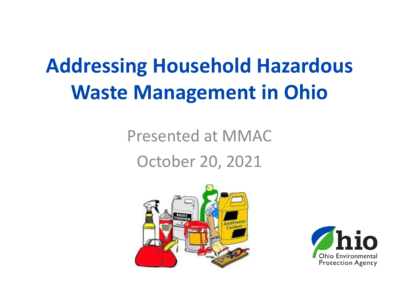## **Addressing Household Hazardous Waste Management in Ohio**

### Presented at MMAC October 20, 2021



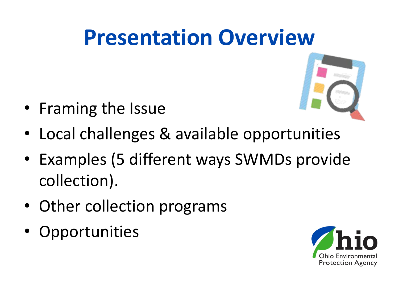## **Presentation Overview**



- Framing the Issue
- Local challenges & available opportunities
- Examples (5 different ways SWMDs provide collection).
- Other collection programs
- **Opportunities**

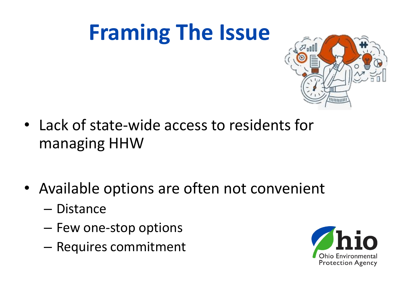## **Framing The Issue**



- Lack of state-wide access to residents for managing HHW
- Available options are often not convenient
	- Distance
	- Few one-stop options
	- Requires commitment

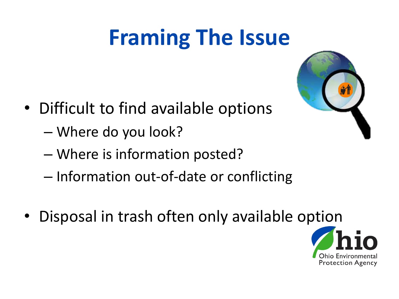# **Framing The Issue**

- Difficult to find available options
	- Where do you look?
	- Where is information posted?
	- Information out-of-date or conflicting
- Disposal in trash often only available option



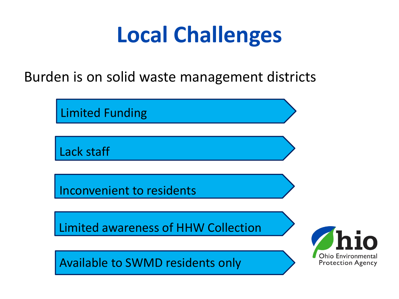# **Local Challenges**

Burden is on solid waste management districts

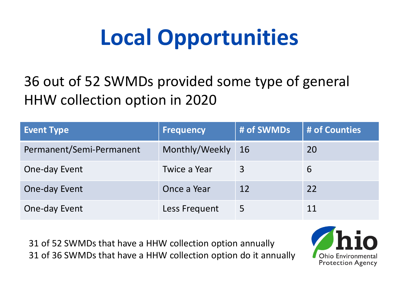# **Local Opportunities**

#### 36 out of 52 SWMDs provided some type of general HHW collection option in 2020

| <b>Event Type</b>        | <b>Frequency</b> | # of SWMDs | # of Counties |
|--------------------------|------------------|------------|---------------|
| Permanent/Semi-Permanent | Monthly/Weekly   | -16        | 20            |
| One-day Event            | Twice a Year     | 3          | 6             |
| One-day Event            | Once a Year      | 12         | 22            |
| One-day Event            | Less Frequent    | 5          |               |

31 of 52 SWMDs that have a HHW collection option annually 31 of 36 SWMDs that have a HHW collection option do it annually

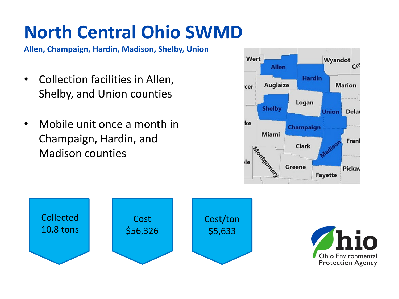## **North Central Ohio SWMD**

**Allen, Champaign, Hardin, Madison, Shelby, Union**

- Collection facilities in Allen, Shelby, and Union counties
- Mobile unit once a month in Champaign, Hardin, and Madison counties





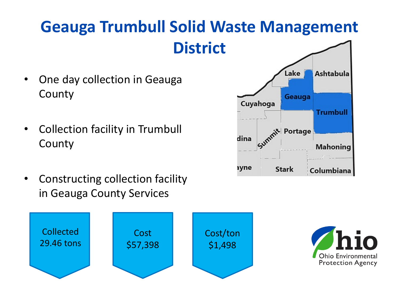#### **Geauga Trumbull Solid Waste Management District**

- One day collection in Geauga County
- Collection facility in Trumbull County
- Constructing collection facility in Geauga County Services





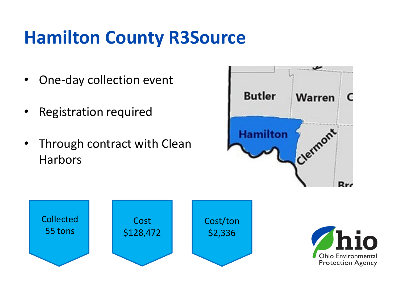### **Hamilton County R3Source**

- One-day collection event
- Registration required
- Through contract with Clean **Harbors**





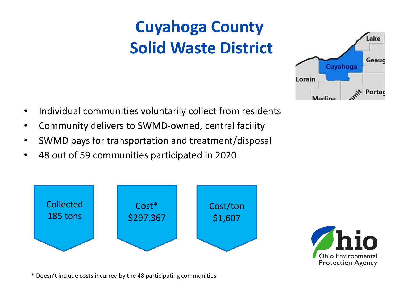### **Cuyahoga County Solid Waste District**



- Individual communities voluntarily collect from residents
- Community delivers to SWMD-owned, central facility
- SWMD pays for transportation and treatment/disposal
- 48 out of 59 communities participated in 2020





\* Doesn't include costs incurred by the 48 participating communities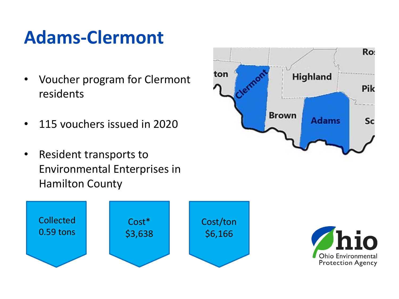### **Adams-Clermont**

- Voucher program for Clermont residents
- 115 vouchers issued in 2020
- Resident transports to Environmental Enterprises in Hamilton County





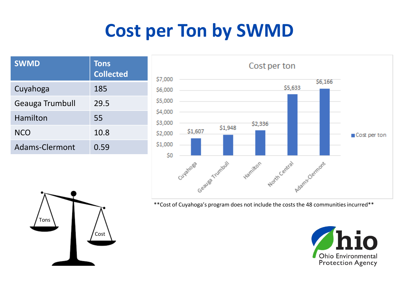### **Cost per Ton by SWMD**

| <b>SWMD</b>     | <b>Tons</b><br><b>Collected</b> |  |
|-----------------|---------------------------------|--|
| Cuyahoga        | 185                             |  |
| Geauga Trumbull | 29.5                            |  |
| Hamilton        | 55                              |  |
| <b>NCO</b>      | 10.8                            |  |
| Adams-Clermont  | 0.59                            |  |



\*\*Cost of Cuyahoga's program does not include the costs the 48 communities incurred\*\*



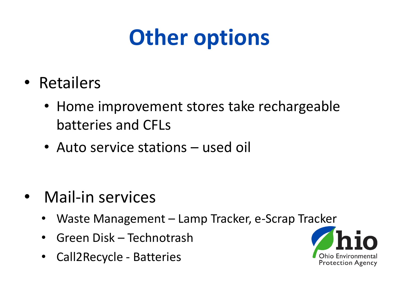# **Other options**

- Retailers
	- Home improvement stores take rechargeable batteries and CFLs
	- Auto service stations used oil

- Mail-in services
	- Waste Management Lamp Tracker, e-Scrap Tracker
	- Green Disk Technotrash
	- Call2Recycle Batteries

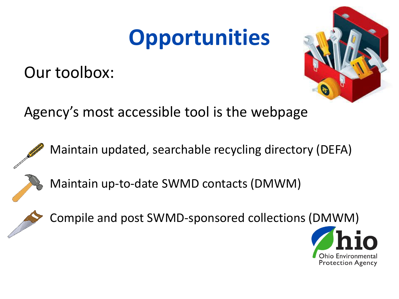## **Opportunities**

Our toolbox:



Agency's most accessible tool is the webpage



Maintain updated, searchable recycling directory (DEFA)



Maintain up-to-date SWMD contacts (DMWM)



Compile and post SWMD-sponsored collections (DMWM)